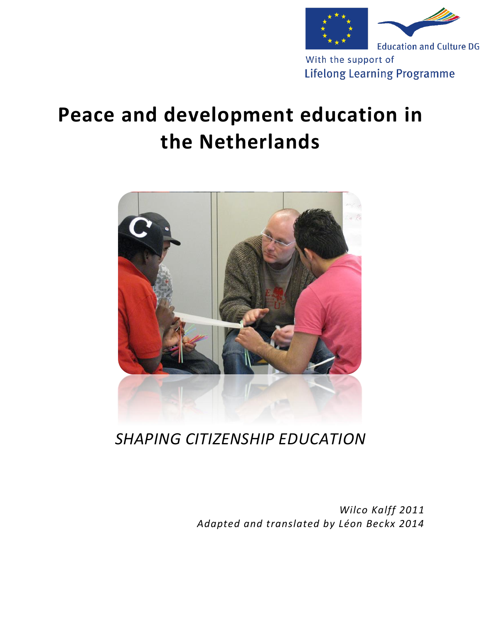

With the support of **Lifelong Learning Programme** 

## **Peace and development education in the Netherlands**



*SHAPING CITIZENSHIP EDUCATION*

*Wilco Kalff 2011 Adapted and translated by Léon Beckx 2014*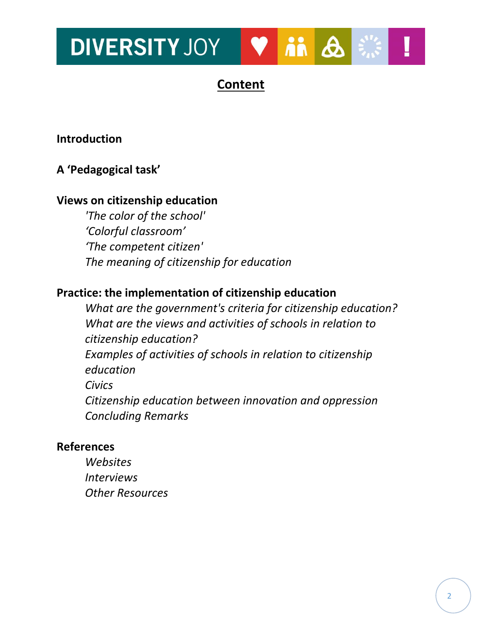### **DIVERSITY JOY** in A

## **Content**

### **Introduction**

### **A 'Pedagogical task'**

### **Views on citizenship education**

*'The color of the school' 'Colorful classroom' 'The competent citizen' The meaning of citizenship for education*

### **Practice: the implementation of citizenship education**

*What are the government's criteria for citizenship education? What are the views and activities of schools in relation to citizenship education? Examples of activities of schools in relation to citizenship education Civics Citizenship education between innovation and oppression Concluding Remarks*

### **References**

*Websites Interviews Other Resources*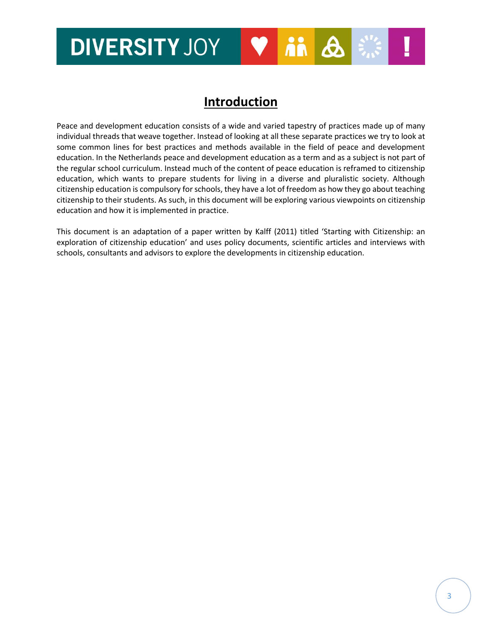## **DIVERSITY JOY**  $\ddot{\mathbf{n}}$   $\Delta$

## **Introduction**

Peace and development education consists of a wide and varied tapestry of practices made up of many individual threads that weave together. Instead of looking at all these separate practices we try to look at some common lines for best practices and methods available in the field of peace and development education. In the Netherlands peace and development education as a term and as a subject is not part of the regular school curriculum. Instead much of the content of peace education is reframed to citizenship education, which wants to prepare students for living in a diverse and pluralistic society. Although citizenship education is compulsory for schools, they have a lot of freedom as how they go about teaching citizenship to their students. As such, in this document will be exploring various viewpoints on citizenship education and how it is implemented in practice.

This document is an adaptation of a paper written by Kalff (2011) titled 'Starting with Citizenship: an exploration of citizenship education' and uses policy documents, scientific articles and interviews with schools, consultants and advisors to explore the developments in citizenship education.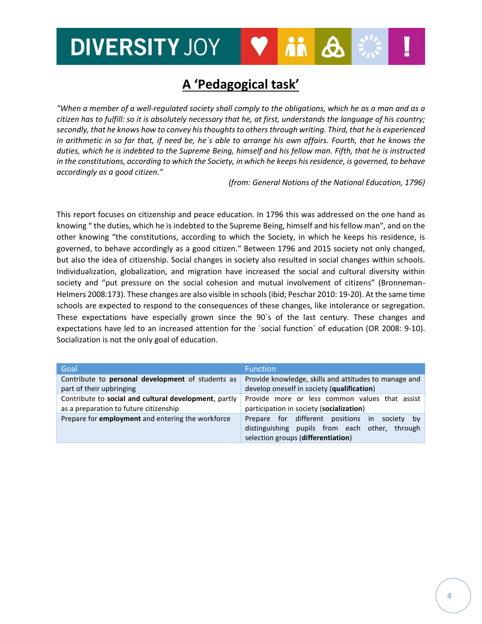## **A 'Pedagogical task'**

*"When a member of a well-regulated society shall comply to the obligations, which he as a man and as a citizen has to fulfill: so it is absolutely necessary that he, at first, understands the language of his country; secondly, that he knows how to convey histhoughts to othersthrough writing. Third, that he is experienced in arithmetic in so far that, if need be, he´s able to arrange his own affairs. Fourth, that he knows the duties, which he is indebted to the Supreme Being, himself and his fellow man. Fifth, that he is instructed in the constitutions, according to which the Society, in which he keeps hisresidence, is governed, to behave accordingly as a good citizen."*

*(from: General Notions of the National Education, 1796)*

This report focuses on citizenship and peace education. In 1796 this was addressed on the one hand as knowing " the duties, which he is indebted to the Supreme Being, himself and his fellow man", and on the other knowing "the constitutions, according to which the Society, in which he keeps his residence, is governed, to behave accordingly as a good citizen." Between 1796 and 2015 society not only changed, but also the idea of citizenship. Social changes in society also resulted in social changes within schools. Individualization, globalization, and migration have increased the social and cultural diversity within society and "put pressure on the social cohesion and mutual involvement of citizens" (Bronneman-Helmers 2008:173). These changes are also visible in schools (ibid; Peschar 2010: 19-20). At the same time schools are expected to respond to the consequences of these changes, like intolerance or segregation. These expectations have especially grown since the 90´s of the last century. These changes and expectations have led to an increased attention for the ´social function´ of education (OR 2008: 9-10). Socialization is not the only goal of education.

| Goal                                                  | <b>Function</b>                                                                                                                                  |  |
|-------------------------------------------------------|--------------------------------------------------------------------------------------------------------------------------------------------------|--|
| Contribute to personal development of students as     | Provide knowledge, skills and attitudes to manage and                                                                                            |  |
| part of their upbringing                              | develop oneself in society (qualification)                                                                                                       |  |
| Contribute to social and cultural development, partly | Provide more or less common values that assist                                                                                                   |  |
| as a preparation to future citizenship                | participation in society (socialization)                                                                                                         |  |
| Prepare for employment and entering the workforce     | Prepare for different positions in<br>society<br>– bv<br>distinguishing pupils from each other,<br>through<br>selection groups (differentiation) |  |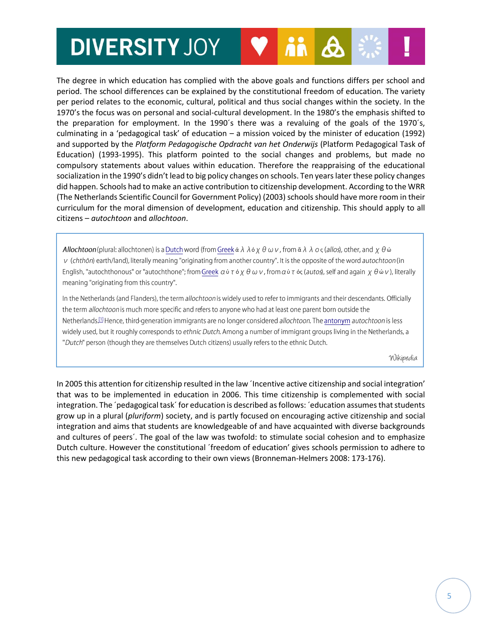The degree in which education has complied with the above goals and functions differs per school and period. The school differences can be explained by the constitutional freedom of education. The variety per period relates to the economic, cultural, political and thus social changes within the society. In the 1970's the focus was on personal and social-cultural development. In the 1980's the emphasis shifted to the preparation for employment. In the 1990´s there was a revaluing of the goals of the 1970´s, culminating in a 'pedagogical task' of education – a mission voiced by the minister of education (1992) and supported by the *Platform Pedagogische Opdracht van het Onderwijs* (Platform Pedagogical Task of Education) (1993-1995). This platform pointed to the social changes and problems, but made no compulsory statements about values within education. Therefore the reappraising of the educational socialization in the 1990's didn't lead to big policy changes on schools. Ten years later these policy changes did happen. Schools had to make an active contribution to citizenship development. According to the WRR (The Netherlands Scientific Council for Government Policy) (2003) schools should have more room in their curriculum for the moral dimension of development, education and citizenship. This should apply to all citizens – *autochtoon* and *allochtoon*.

**Allochtoon** (plural: allochtonen) is a Dutch word (from Greek  $\dot{\alpha}$   $\lambda$   $\dot{\alpha}$   $\chi$   $\theta$   $\omega$   $\nu$ , from  $\ddot{\alpha}$   $\lambda$   $\dot{\alpha}$   $\zeta$   $\zeta$  allos), other, and  $\chi$   $\theta$   $\dot{\omega}$ v (chthōn) earth/land), literally meaning "originating from another country". It is the opposite of the word autochtoon (in English, "autochthonous" or "autochthone"; from Greek  $a\dot{v}\tau\dot{\delta}\chi\theta\omega\nu$ , from  $a\dot{v}\tau\dot{\delta}\varsigma$  (autos), self and again  $\chi\theta\dot{\omega}\nu$ ), literally meaning "originating from this country".

In the Netherlands (and Flanders), the term allochtoon is widely used to refer to immigrants and their descendants. Officially the term allochtoon is much more specific and refers to anyone who had at least one parent born outside the Netherlands.<sup>[1]</sup> Hence, third-generation immigrants are no longer considered allochtoon. The antonym autochtoon is less widely used, but it roughly corresponds to ethnic Dutch. Among a number of immigrant groups living in the Netherlands, a "Dutch" person (though they are themselves Dutch citizens) usually refers to the ethnic Dutch.

Wikipedia

In 2005 this attention for citizenship resulted in the law ´Incentive active citizenship and social integration' that was to be implemented in education in 2006. This time citizenship is complemented with social integration. The ´pedagogical task´ for education is described as follows: ´education assumes that students grow up in a plural (*pluriform*) society, and is partly focused on encouraging active citizenship and social integration and aims that students are knowledgeable of and have acquainted with diverse backgrounds and cultures of peers´. The goal of the law was twofold: to stimulate social cohesion and to emphasize Dutch culture. However the constitutional ´freedom of education' gives schools permission to adhere to this new pedagogical task according to their own views (Bronneman-Helmers 2008: 173-176).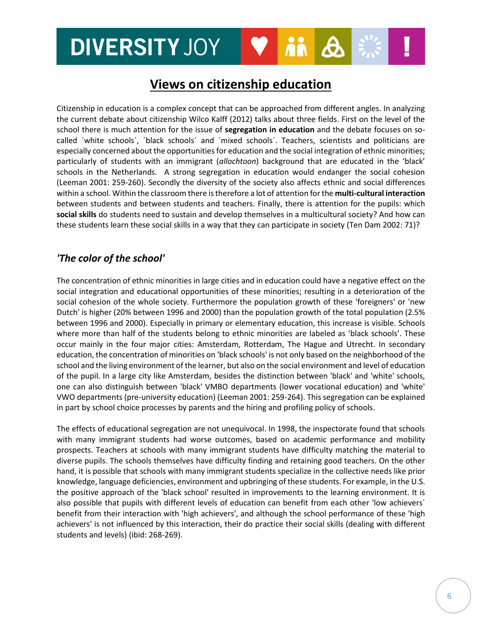### **DIVERSITY JOY**  $\boldsymbol{\beta}$

### **Views on citizenship education**

Citizenship in education is a complex concept that can be approached from different angles. In analyzing the current debate about citizenship Wilco Kalff (2012) talks about three fields. First on the level of the school there is much attention for the issue of **segregation in education** and the debate focuses on socalled ´white schools´, ´black schools´ and ´mixed schools´. Teachers, scientists and politicians are especially concerned about the opportunities for education and the social integration of ethnic minorities; particularly of students with an immigrant (*allochtoon*) background that are educated in the 'black' schools in the Netherlands. A strong segregation in education would endanger the social cohesion (Leeman 2001: 259-260). Secondly the diversity of the society also affects ethnic and social differences within a school. Within the classroom there is therefore a lot of attention for the **multi-cultural interaction** between students and between students and teachers. Finally, there is attention for the pupils: which **social skills** do students need to sustain and develop themselves in a multicultural society? And how can these students learn these social skills in a way that they can participate in society (Ten Dam 2002: 71)?

#### *'The color of the school'*

The concentration of ethnic minorities in large cities and in education could have a negative effect on the social integration and educational opportunities of these minorities; resulting in a deterioration of the social cohesion of the whole society. Furthermore the population growth of these 'foreigners' or 'new Dutch' is higher (20% between 1996 and 2000) than the population growth of the total population (2.5% between 1996 and 2000). Especially in primary or elementary education, this increase is visible. Schools where more than half of the students belong to ethnic minorities are labeled as 'black schools'. These occur mainly in the four major cities: Amsterdam, Rotterdam, The Hague and Utrecht. In secondary education, the concentration of minorities on 'black schools' is not only based on the neighborhood of the school and the living environment of the learner, but also on the social environment and level of education of the pupil. In a large city like Amsterdam, besides the distinction between 'black' and 'white' schools, one can also distinguish between 'black' VMBO departments (lower vocational education) and 'white' VWO departments (pre-university education) (Leeman 2001: 259-264). This segregation can be explained in part by school choice processes by parents and the hiring and profiling policy of schools.

The effects of educational segregation are not unequivocal. In 1998, the inspectorate found that schools with many immigrant students had worse outcomes, based on academic performance and mobility prospects. Teachers at schools with many immigrant students have difficulty matching the material to diverse pupils. The schools themselves have difficulty finding and retaining good teachers. On the other hand, it is possible that schools with many immigrant students specialize in the collective needs like prior knowledge, language deficiencies, environment and upbringing of these students. For example, in the U.S. the positive approach of the 'black school' resulted in improvements to the learning environment. It is also possible that pupils with different levels of education can benefit from each other 'low achievers´ benefit from their interaction with 'high achievers', and although the school performance of these 'high achievers' is not influenced by this interaction, their do practice their social skills (dealing with different students and levels) (ibid: 268-269).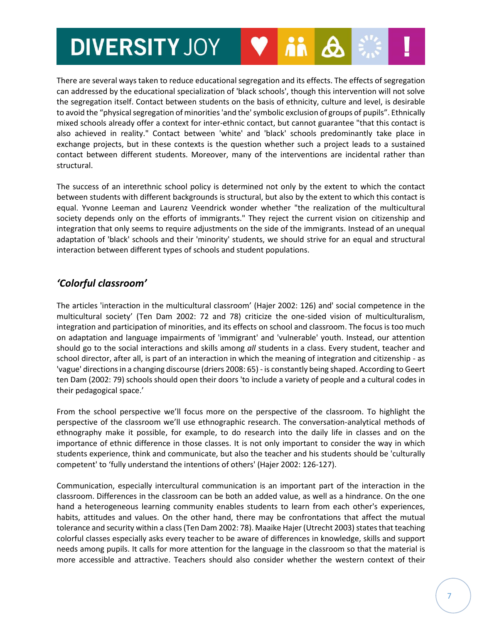There are several ways taken to reduce educational segregation and its effects. The effects of segregation can addressed by the educational specialization of 'black schools', though this intervention will not solve the segregation itself. Contact between students on the basis of ethnicity, culture and level, is desirable to avoid the "physical segregation of minorities 'and the' symbolic exclusion of groups of pupils". Ethnically mixed schools already offer a context for inter-ethnic contact, but cannot guarantee "that this contact is also achieved in reality." Contact between 'white' and 'black' schools predominantly take place in exchange projects, but in these contexts is the question whether such a project leads to a sustained contact between different students. Moreover, many of the interventions are incidental rather than structural.

The success of an interethnic school policy is determined not only by the extent to which the contact between students with different backgrounds is structural, but also by the extent to which this contact is equal. Yvonne Leeman and Laurenz Veendrick wonder whether "the realization of the multicultural society depends only on the efforts of immigrants." They reject the current vision on citizenship and integration that only seems to require adjustments on the side of the immigrants. Instead of an unequal adaptation of 'black' schools and their 'minority' students, we should strive for an equal and structural interaction between different types of schools and student populations.

### *'Colorful classroom'*

The articles 'interaction in the multicultural classroom' (Hajer 2002: 126) and' social competence in the multicultural society' (Ten Dam 2002: 72 and 78) criticize the one-sided vision of multiculturalism, integration and participation of minorities, and its effects on school and classroom. The focus is too much on adaptation and language impairments of 'immigrant' and 'vulnerable' youth. Instead, our attention should go to the social interactions and skills among *all* students in a class. Every student, teacher and school director, after all, is part of an interaction in which the meaning of integration and citizenship - as 'vague' directions in a changing discourse (driers 2008: 65) - is constantly being shaped. According to Geert ten Dam (2002: 79) schools should open their doors 'to include a variety of people and a cultural codes in their pedagogical space.'

From the school perspective we'll focus more on the perspective of the classroom. To highlight the perspective of the classroom we'll use ethnographic research. The conversation-analytical methods of ethnography make it possible, for example, to do research into the daily life in classes and on the importance of ethnic difference in those classes. It is not only important to consider the way in which students experience, think and communicate, but also the teacher and his students should be 'culturally competent' to 'fully understand the intentions of others' (Hajer 2002: 126-127).

Communication, especially intercultural communication is an important part of the interaction in the classroom. Differences in the classroom can be both an added value, as well as a hindrance. On the one hand a heterogeneous learning community enables students to learn from each other's experiences, habits, attitudes and values. On the other hand, there may be confrontations that affect the mutual tolerance and security within a class (Ten Dam 2002: 78). Maaike Hajer (Utrecht 2003) states that teaching colorful classes especially asks every teacher to be aware of differences in knowledge, skills and support needs among pupils. It calls for more attention for the language in the classroom so that the material is more accessible and attractive. Teachers should also consider whether the western context of their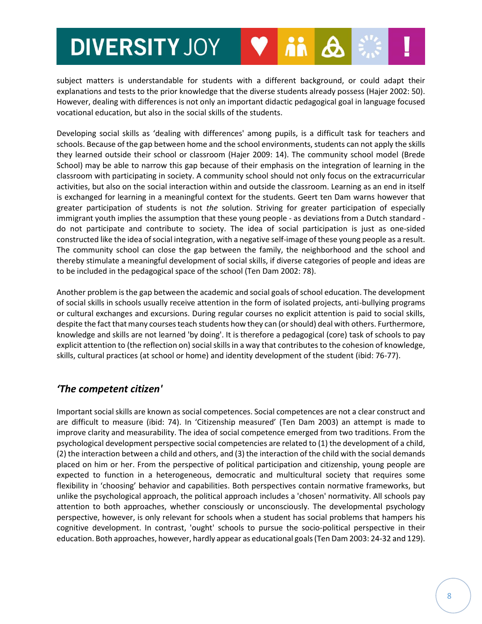subject matters is understandable for students with a different background, or could adapt their explanations and tests to the prior knowledge that the diverse students already possess (Hajer 2002: 50). However, dealing with differences is not only an important didactic pedagogical goal in language focused vocational education, but also in the social skills of the students.

Developing social skills as 'dealing with differences' among pupils, is a difficult task for teachers and schools. Because of the gap between home and the school environments, students can not apply the skills they learned outside their school or classroom (Hajer 2009: 14). The community school model (Brede School) may be able to narrow this gap because of their emphasis on the integration of learning in the classroom with participating in society. A community school should not only focus on the extracurricular activities, but also on the social interaction within and outside the classroom. Learning as an end in itself is exchanged for learning in a meaningful context for the students. Geert ten Dam warns however that greater participation of students is not *the* solution. Striving for greater participation of especially immigrant youth implies the assumption that these young people - as deviations from a Dutch standard do not participate and contribute to society. The idea of social participation is just as one-sided constructed like the idea ofsocial integration, with a negative self-image of these young people as a result. The community school can close the gap between the family, the neighborhood and the school and thereby stimulate a meaningful development of social skills, if diverse categories of people and ideas are to be included in the pedagogical space of the school (Ten Dam 2002: 78).

Another problem is the gap between the academic and social goals of school education. The development of social skills in schools usually receive attention in the form of isolated projects, anti-bullying programs or cultural exchanges and excursions. During regular courses no explicit attention is paid to social skills, despite the fact that many courses teach students how they can (or should) deal with others. Furthermore, knowledge and skills are not learned 'by doing'. It is therefore a pedagogical (core) task of schools to pay explicit attention to (the reflection on) social skills in a way that contributes to the cohesion of knowledge, skills, cultural practices (at school or home) and identity development of the student (ibid: 76-77).

### *'The competent citizen'*

Important social skills are known as social competences. Social competences are not a clear construct and are difficult to measure (ibid: 74). In 'Citizenship measured' (Ten Dam 2003) an attempt is made to improve clarity and measurability. The idea of social competence emerged from two traditions. From the psychological development perspective social competencies are related to (1) the development of a child, (2) the interaction between a child and others, and (3) the interaction of the child with the social demands placed on him or her. From the perspective of political participation and citizenship, young people are expected to function in a heterogeneous, democratic and multicultural society that requires some flexibility in 'choosing' behavior and capabilities. Both perspectives contain normative frameworks, but unlike the psychological approach, the political approach includes a 'chosen' normativity. All schools pay attention to both approaches, whether consciously or unconsciously. The developmental psychology perspective, however, is only relevant for schools when a student has social problems that hampers his cognitive development. In contrast, 'ought' schools to pursue the socio-political perspective in their education. Both approaches, however, hardly appear as educational goals(Ten Dam 2003: 24-32 and 129).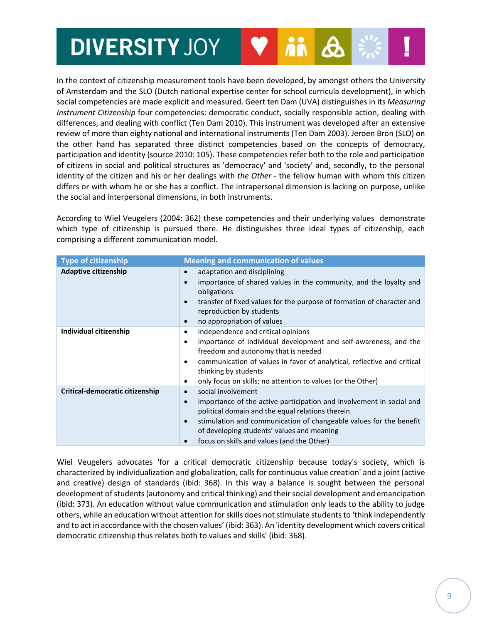In the context of citizenship measurement tools have been developed, by amongst others the University of Amsterdam and the SLO (Dutch national expertise center for school curricula development), in which social competencies are made explicit and measured. Geert ten Dam (UVA) distinguishes in its *Measuring Instrument Citizenship* four competencies: democratic conduct, socially responsible action, dealing with differences, and dealing with conflict (Ten Dam 2010). This instrument was developed after an extensive review of more than eighty national and international instruments (Ten Dam 2003). Jeroen Bron (SLO) on the other hand has separated three distinct competencies based on the concepts of democracy, participation and identity (source 2010: 105). These competencies refer both to the role and participation of citizens in social and political structures as 'democracy' and 'society' and, secondly, to the personal identity of the citizen and his or her dealings with *the Other* - the fellow human with whom this citizen differs or with whom he or she has a conflict. The intrapersonal dimension is lacking on purpose, unlike the social and interpersonal dimensions, in both instruments.

According to Wiel Veugelers (2004: 362) these competencies and their underlying values demonstrate which type of citizenship is pursued there. He distinguishes three ideal types of citizenship, each comprising a different communication model.

| <b>Type of citizenship</b>      | <b>Meaning and communication of values</b>                                                                                                                                                                                                                                                                                                                           |
|---------------------------------|----------------------------------------------------------------------------------------------------------------------------------------------------------------------------------------------------------------------------------------------------------------------------------------------------------------------------------------------------------------------|
| <b>Adaptive citizenship</b>     | adaptation and disciplining<br>$\bullet$<br>importance of shared values in the community, and the loyalty and<br>$\bullet$<br>obligations<br>transfer of fixed values for the purpose of formation of character and<br>$\bullet$<br>reproduction by students<br>no appropriation of values<br>$\bullet$                                                              |
| Individual citizenship          | independence and critical opinions<br>٠<br>importance of individual development and self-awareness, and the<br>٠<br>freedom and autonomy that is needed<br>communication of values in favor of analytical, reflective and critical<br>٠<br>thinking by students<br>only focus on skills; no attention to values (or the Other)<br>٠                                  |
| Critical-democratic citizenship | social involvement<br>$\bullet$<br>importance of the active participation and involvement in social and<br>$\bullet$<br>political domain and the equal relations therein<br>stimulation and communication of changeable values for the benefit<br>$\bullet$<br>of developing students' values and meaning<br>focus on skills and values (and the Other)<br>$\bullet$ |

Wiel Veugelers advocates 'for a critical democratic citizenship because today's society, which is characterized by individualization and globalization, calls for continuous value creation' and a joint (active and creative) design of standards (ibid: 368). In this way a balance is sought between the personal development of students (autonomy and critical thinking) and their social development and emancipation (ibid: 373). An education without value communication and stimulation only leads to the ability to judge others, while an education without attention for skills does not stimulate students to 'think independently and to act in accordance with the chosen values' (ibid: 363). An 'identity development which covers critical democratic citizenship thus relates both to values and skills' (ibid: 368).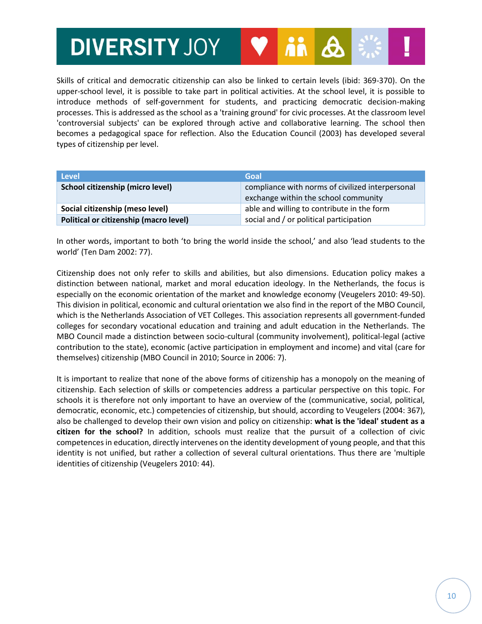Skills of critical and democratic citizenship can also be linked to certain levels (ibid: 369-370). On the upper-school level, it is possible to take part in political activities. At the school level, it is possible to introduce methods of self-government for students, and practicing democratic decision-making processes. This is addressed as the school as a 'training ground' for civic processes. At the classroom level 'controversial subjects' can be explored through active and collaborative learning. The school then becomes a pedagogical space for reflection. Also the Education Council (2003) has developed several types of citizenship per level.

| <b>Level</b>                           | Goal                                                                                     |
|----------------------------------------|------------------------------------------------------------------------------------------|
| School citizenship (micro level)       | compliance with norms of civilized interpersonal<br>exchange within the school community |
| Social citizenship (meso level)        | able and willing to contribute in the form                                               |
| Political or citizenship (macro level) | social and / or political participation                                                  |

In other words, important to both 'to bring the world inside the school,' and also 'lead students to the world' (Ten Dam 2002: 77).

Citizenship does not only refer to skills and abilities, but also dimensions. Education policy makes a distinction between national, market and moral education ideology. In the Netherlands, the focus is especially on the economic orientation of the market and knowledge economy (Veugelers 2010: 49-50). This division in political, economic and cultural orientation we also find in the report of the MBO Council, which is the Netherlands Association of VET Colleges. This association represents all government-funded colleges for secondary vocational education and training and adult education in the Netherlands. The MBO Council made a distinction between socio-cultural (community involvement), political-legal (active contribution to the state), economic (active participation in employment and income) and vital (care for themselves) citizenship (MBO Council in 2010; Source in 2006: 7).

It is important to realize that none of the above forms of citizenship has a monopoly on the meaning of citizenship. Each selection of skills or competencies address a particular perspective on this topic. For schools it is therefore not only important to have an overview of the (communicative, social, political, democratic, economic, etc.) competencies of citizenship, but should, according to Veugelers (2004: 367), also be challenged to develop their own vision and policy on citizenship: **what is the 'ideal' student as a citizen for the school?** In addition, schools must realize that the pursuit of a collection of civic competencesin education, directly intervenes on the identity development of young people, and that this identity is not unified, but rather a collection of several cultural orientations. Thus there are 'multiple identities of citizenship (Veugelers 2010: 44).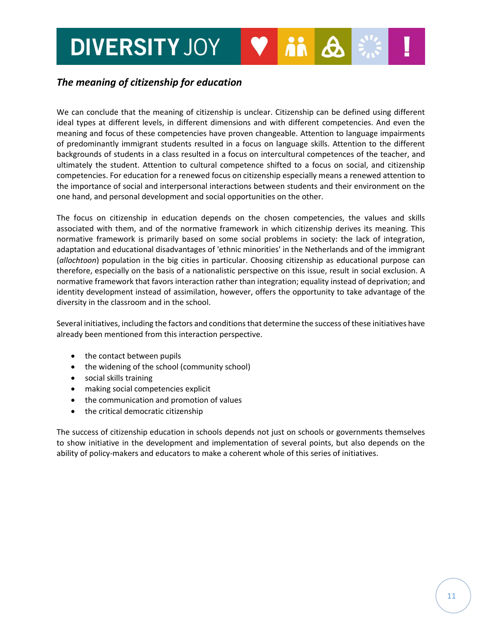### *The meaning of citizenship for education*

We can conclude that the meaning of citizenship is unclear. Citizenship can be defined using different ideal types at different levels, in different dimensions and with different competencies. And even the meaning and focus of these competencies have proven changeable. Attention to language impairments of predominantly immigrant students resulted in a focus on language skills. Attention to the different backgrounds of students in a class resulted in a focus on intercultural competences of the teacher, and ultimately the student. Attention to cultural competence shifted to a focus on social, and citizenship competencies. For education for a renewed focus on citizenship especially means a renewed attention to the importance of social and interpersonal interactions between students and their environment on the one hand, and personal development and social opportunities on the other.

The focus on citizenship in education depends on the chosen competencies, the values and skills associated with them, and of the normative framework in which citizenship derives its meaning. This normative framework is primarily based on some social problems in society: the lack of integration, adaptation and educational disadvantages of 'ethnic minorities' in the Netherlands and of the immigrant (*allochtoon*) population in the big cities in particular. Choosing citizenship as educational purpose can therefore, especially on the basis of a nationalistic perspective on this issue, result in social exclusion. A normative framework that favors interaction rather than integration; equality instead of deprivation; and identity development instead of assimilation, however, offers the opportunity to take advantage of the diversity in the classroom and in the school.

Several initiatives, including the factors and conditions that determine the success of these initiatives have already been mentioned from this interaction perspective.

- the contact between pupils
- the widening of the school (community school)
- social skills training
- making social competencies explicit
- the communication and promotion of values
- the critical democratic citizenship

The success of citizenship education in schools depends not just on schools or governments themselves to show initiative in the development and implementation of several points, but also depends on the ability of policy-makers and educators to make a coherent whole of this series of initiatives.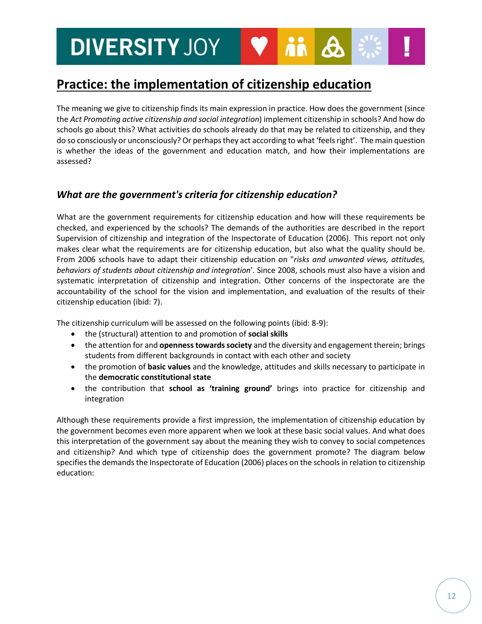### **Practice: the implementation of citizenship education**

The meaning we give to citizenship finds its main expression in practice. How does the government (since the *Act Promoting active citizenship and social integration*) implement citizenship in schools? And how do schools go about this? What activities do schools already do that may be related to citizenship, and they do so consciously or unconsciously? Or perhaps they act according to what 'feels right'. The main question is whether the ideas of the government and education match, and how their implementations are assessed?

#### *What are the government's criteria for citizenship education?*

What are the government requirements for citizenship education and how will these requirements be checked, and experienced by the schools? The demands of the authorities are described in the report Supervision of citizenship and integration of the Inspectorate of Education (2006). This report not only makes clear what the requirements are for citizenship education, but also what the quality should be. From 2006 schools have to adapt their citizenship education on "*risks and unwanted views, attitudes, behaviors of students about citizenship and integration*'. Since 2008, schools must also have a vision and systematic interpretation of citizenship and integration. Other concerns of the inspectorate are the accountability of the school for the vision and implementation, and evaluation of the results of their citizenship education (ibid: 7).

The citizenship curriculum will be assessed on the following points (ibid: 8-9):

- the (structural) attention to and promotion of **social skills**
- the attention for and **openness towards society** and the diversity and engagement therein; brings students from different backgrounds in contact with each other and society
- the promotion of **basic values** and the knowledge, attitudes and skills necessary to participate in the **democratic constitutional state**
- the contribution that **school as 'training ground'** brings into practice for citizenship and integration

Although these requirements provide a first impression, the implementation of citizenship education by the government becomes even more apparent when we look at these basic social values. And what does this interpretation of the government say about the meaning they wish to convey to social competences and citizenship? And which type of citizenship does the government promote? The diagram below specifies the demands the Inspectorate of Education (2006) places on the schools in relation to citizenship education: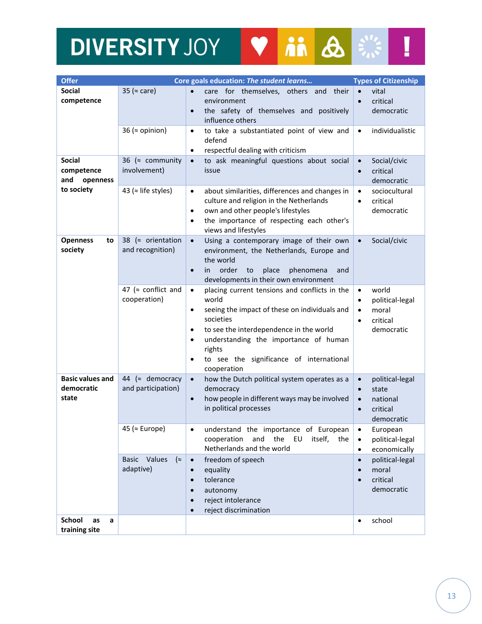# **DIVERSITY JOY & A REAL !**

| <b>Offer</b>                                                 |                                                | Core goals education: The student learns                                                                                                                                                                                                                                                                                               | <b>Types of Citizenship</b>                                                                                        |
|--------------------------------------------------------------|------------------------------------------------|----------------------------------------------------------------------------------------------------------------------------------------------------------------------------------------------------------------------------------------------------------------------------------------------------------------------------------------|--------------------------------------------------------------------------------------------------------------------|
| <b>Social</b><br>competence                                  | 35 ( $\approx$ care)                           | care for themselves, others and their<br>$\bullet$<br>environment<br>the safety of themselves and positively<br>$\bullet$<br>influence others                                                                                                                                                                                          | vital<br>$\bullet$<br>critical<br>$\bullet$<br>democratic                                                          |
|                                                              | 36 ( $\approx$ opinion)                        | to take a substantiated point of view and<br>$\bullet$<br>defend<br>respectful dealing with criticism<br>٠                                                                                                                                                                                                                             | individualistic<br>$\bullet$                                                                                       |
| <b>Social</b><br>competence<br>and<br>openness<br>to society | 36 ( $\approx$ community<br>involvement)       | to ask meaningful questions about social<br>$\bullet$<br>issue                                                                                                                                                                                                                                                                         | Social/civic<br>$\bullet$<br>critical<br>$\bullet$<br>democratic                                                   |
|                                                              | 43 ( $\approx$ life styles)                    | about similarities, differences and changes in<br>$\bullet$<br>culture and religion in the Netherlands<br>own and other people's lifestyles<br>$\bullet$<br>the importance of respecting each other's<br>$\bullet$<br>views and lifestyles                                                                                             | sociocultural<br>$\bullet$<br>critical<br>$\bullet$<br>democratic                                                  |
| <b>Openness</b><br>to<br>society                             | 38 ( $\approx$ orientation<br>and recognition) | Using a contemporary image of their own<br>$\bullet$<br>environment, the Netherlands, Europe and<br>the world<br>order<br>place<br>phenomena<br>to<br>$\bullet$<br><i>in</i><br>and<br>developments in their own environment                                                                                                           | Social/civic<br>$\bullet$                                                                                          |
|                                                              | 47 ( $\approx$ conflict and<br>cooperation)    | placing current tensions and conflicts in the<br>$\bullet$<br>world<br>seeing the impact of these on individuals and<br>$\bullet$<br>societies<br>to see the interdependence in the world<br>٠<br>understanding the importance of human<br>$\bullet$<br>rights<br>to see the significance of international<br>$\bullet$<br>cooperation | world<br>$\bullet$<br>political-legal<br>$\bullet$<br>moral<br>$\bullet$<br>critical<br>$\bullet$<br>democratic    |
| <b>Basic values and</b><br>democratic<br>state               | 44 ( $\approx$ democracy<br>and participation) | how the Dutch political system operates as a<br>$\bullet$<br>democracy<br>how people in different ways may be involved<br>$\bullet$<br>in political processes                                                                                                                                                                          | political-legal<br>$\bullet$<br>state<br>$\bullet$<br>national<br>$\bullet$<br>critical<br>$\bullet$<br>democratic |
|                                                              | 45 ( $\approx$ Europe)                         | understand the importance of European<br>$\bullet$<br>and<br>the EU<br>cooperation<br>itself,<br>the<br>Netherlands and the world                                                                                                                                                                                                      | European<br>$\bullet$<br>political-legal<br>$\bullet$<br>economically<br>$\bullet$                                 |
|                                                              | Basic Values<br>(z)<br>adaptive)               | freedom of speech<br>$\bullet$<br>equality<br>$\bullet$<br>tolerance<br>$\bullet$<br>autonomy<br>$\bullet$<br>reject intolerance<br>$\bullet$<br>reject discrimination<br>$\bullet$                                                                                                                                                    | political-legal<br>$\bullet$<br>moral<br>$\bullet$<br>critical<br>$\bullet$<br>democratic                          |
| <b>School</b><br>as<br>a<br>training site                    |                                                |                                                                                                                                                                                                                                                                                                                                        | school<br>$\bullet$                                                                                                |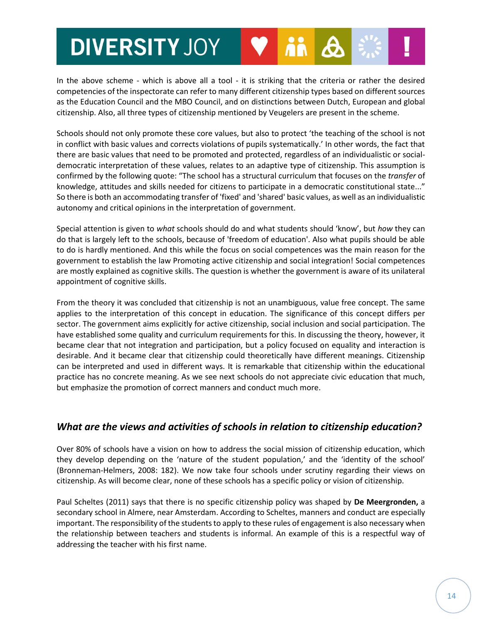In the above scheme - which is above all a tool - it is striking that the criteria or rather the desired competencies of the inspectorate can refer to many different citizenship types based on different sources as the Education Council and the MBO Council, and on distinctions between Dutch, European and global citizenship. Also, all three types of citizenship mentioned by Veugelers are present in the scheme.

Schools should not only promote these core values, but also to protect 'the teaching of the school is not in conflict with basic values and corrects violations of pupils systematically.' In other words, the fact that there are basic values that need to be promoted and protected, regardless of an individualistic or socialdemocratic interpretation of these values, relates to an adaptive type of citizenship. This assumption is confirmed by the following quote: "The school has a structural curriculum that focuses on the *transfer* of knowledge, attitudes and skills needed for citizens to participate in a democratic constitutional state..." So there is both an accommodating transfer of 'fixed' and 'shared' basic values, as well as an individualistic autonomy and critical opinions in the interpretation of government.

Special attention is given to *what* schools should do and what students should 'know', but *how* they can do that is largely left to the schools, because of 'freedom of education'. Also what pupils should be able to do is hardly mentioned. And this while the focus on social competences was the main reason for the government to establish the law Promoting active citizenship and social integration! Social competences are mostly explained as cognitive skills. The question is whether the government is aware of its unilateral appointment of cognitive skills.

From the theory it was concluded that citizenship is not an unambiguous, value free concept. The same applies to the interpretation of this concept in education. The significance of this concept differs per sector. The government aims explicitly for active citizenship, social inclusion and social participation. The have established some quality and curriculum requirements for this. In discussing the theory, however, it became clear that not integration and participation, but a policy focused on equality and interaction is desirable. And it became clear that citizenship could theoretically have different meanings. Citizenship can be interpreted and used in different ways. It is remarkable that citizenship within the educational practice has no concrete meaning. As we see next schools do not appreciate civic education that much, but emphasize the promotion of correct manners and conduct much more.

#### *What are the views and activities of schools in relation to citizenship education?*

Over 80% of schools have a vision on how to address the social mission of citizenship education, which they develop depending on the 'nature of the student population,' and the 'identity of the school' (Bronneman-Helmers, 2008: 182). We now take four schools under scrutiny regarding their views on citizenship. As will become clear, none of these schools has a specific policy or vision of citizenship.

Paul Scheltes (2011) says that there is no specific citizenship policy was shaped by **De Meergronden,** a secondary school in Almere, near Amsterdam. According to Scheltes, manners and conduct are especially important. The responsibility of the students to apply to these rules of engagement is also necessary when the relationship between teachers and students is informal. An example of this is a respectful way of addressing the teacher with his first name.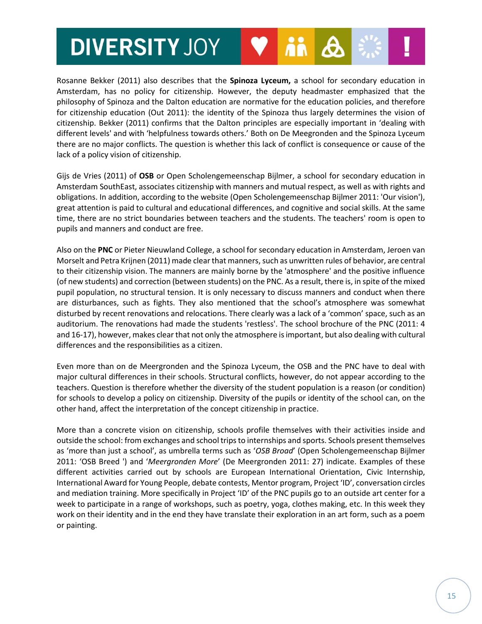Rosanne Bekker (2011) also describes that the **Spinoza Lyceum,** a school for secondary education in Amsterdam, has no policy for citizenship. However, the deputy headmaster emphasized that the philosophy of Spinoza and the Dalton education are normative for the education policies, and therefore for citizenship education (Out 2011): the identity of the Spinoza thus largely determines the vision of citizenship. Bekker (2011) confirms that the Dalton principles are especially important in 'dealing with different levels' and with 'helpfulness towards others.' Both on De Meegronden and the Spinoza Lyceum there are no major conflicts. The question is whether this lack of conflict is consequence or cause of the lack of a policy vision of citizenship.

Gijs de Vries (2011) of **OSB** or Open Scholengemeenschap Bijlmer, a school for secondary education in Amsterdam SouthEast, associates citizenship with manners and mutual respect, as well as with rights and obligations. In addition, according to the website (Open Scholengemeenschap Bijlmer 2011: 'Our vision'), great attention is paid to cultural and educational differences, and cognitive and social skills. At the same time, there are no strict boundaries between teachers and the students. The teachers' room is open to pupils and manners and conduct are free.

Also on the **PNC** or Pieter Nieuwland College, a school for secondary education in Amsterdam, Jeroen van Morselt and Petra Krijnen (2011) made clear that manners, such as unwritten rules of behavior, are central to their citizenship vision. The manners are mainly borne by the 'atmosphere' and the positive influence (of new students) and correction (between students) on the PNC. As a result, there is, in spite of the mixed pupil population, no structural tension. It is only necessary to discuss manners and conduct when there are disturbances, such as fights. They also mentioned that the school's atmosphere was somewhat disturbed by recent renovations and relocations. There clearly was a lack of a 'common' space, such as an auditorium. The renovations had made the students 'restless'. The school brochure of the PNC (2011: 4 and 16-17), however, makes clear that not only the atmosphere is important, but also dealing with cultural differences and the responsibilities as a citizen.

Even more than on de Meergronden and the Spinoza Lyceum, the OSB and the PNC have to deal with major cultural differences in their schools. Structural conflicts, however, do not appear according to the teachers. Question is therefore whether the diversity of the student population is a reason (or condition) for schools to develop a policy on citizenship. Diversity of the pupils or identity of the school can, on the other hand, affect the interpretation of the concept citizenship in practice.

More than a concrete vision on citizenship, schools profile themselves with their activities inside and outside the school: from exchanges and school trips to internships and sports. Schools present themselves as 'more than just a school', as umbrella terms such as '*OSB Broad*' (Open Scholengemeenschap Bijlmer 2011: 'OSB Breed ') and '*Meergronden More*' (De Meergronden 2011: 27) indicate. Examples of these different activities carried out by schools are European International Orientation, Civic Internship, International Award for Young People, debate contests, Mentor program, Project 'ID', conversation circles and mediation training. More specifically in Project 'ID' of the PNC pupils go to an outside art center for a week to participate in a range of workshops, such as poetry, yoga, clothes making, etc. In this week they work on their identity and in the end they have translate their exploration in an art form, such as a poem or painting.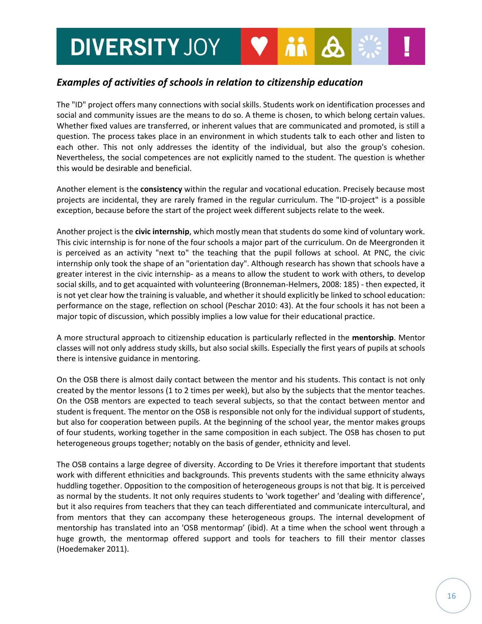### *Examples of activities of schools in relation to citizenship education*

The "ID" project offers many connections with social skills. Students work on identification processes and social and community issues are the means to do so. A theme is chosen, to which belong certain values. Whether fixed values are transferred, or inherent values that are communicated and promoted, is still a question. The process takes place in an environment in which students talk to each other and listen to each other. This not only addresses the identity of the individual, but also the group's cohesion. Nevertheless, the social competences are not explicitly named to the student. The question is whether this would be desirable and beneficial.

Another element is the **consistency** within the regular and vocational education. Precisely because most projects are incidental, they are rarely framed in the regular curriculum. The "ID-project" is a possible exception, because before the start of the project week different subjects relate to the week.

Another project is the **civic internship**, which mostly mean that students do some kind of voluntary work. This civic internship is for none of the four schools a major part of the curriculum. On de Meergronden it is perceived as an activity "next to" the teaching that the pupil follows at school. At PNC, the civic internship only took the shape of an "orientation day". Although research has shown that schools have a greater interest in the civic internship- as a means to allow the student to work with others, to develop social skills, and to get acquainted with volunteering (Bronneman-Helmers, 2008: 185) - then expected, it is not yet clear how the training is valuable, and whether it should explicitly be linked to school education: performance on the stage, reflection on school (Peschar 2010: 43). At the four schools it has not been a major topic of discussion, which possibly implies a low value for their educational practice.

A more structural approach to citizenship education is particularly reflected in the **mentorship**. Mentor classes will not only address study skills, but also social skills. Especially the first years of pupils at schools there is intensive guidance in mentoring.

On the OSB there is almost daily contact between the mentor and his students. This contact is not only created by the mentor lessons (1 to 2 times per week), but also by the subjects that the mentor teaches. On the OSB mentors are expected to teach several subjects, so that the contact between mentor and student is frequent. The mentor on the OSB is responsible not only for the individual support of students, but also for cooperation between pupils. At the beginning of the school year, the mentor makes groups of four students, working together in the same composition in each subject. The OSB has chosen to put heterogeneous groups together; notably on the basis of gender, ethnicity and level.

The OSB contains a large degree of diversity. According to De Vries it therefore important that students work with different ethnicities and backgrounds. This prevents students with the same ethnicity always huddling together. Opposition to the composition of heterogeneous groups is not that big. It is perceived as normal by the students. It not only requires students to 'work together' and 'dealing with difference', but it also requires from teachers that they can teach differentiated and communicate intercultural, and from mentors that they can accompany these heterogeneous groups. The internal development of mentorship has translated into an 'OSB mentormap' (ibid). At a time when the school went through a huge growth, the mentormap offered support and tools for teachers to fill their mentor classes (Hoedemaker 2011).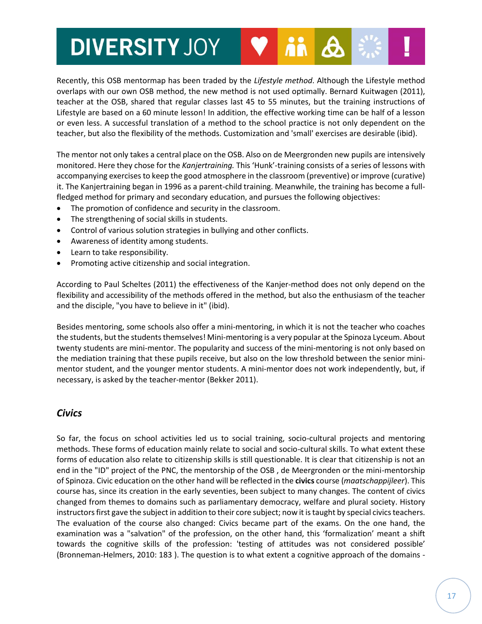Recently, this OSB mentormap has been traded by the *Lifestyle method*. Although the Lifestyle method overlaps with our own OSB method, the new method is not used optimally. Bernard Kuitwagen (2011), teacher at the OSB, shared that regular classes last 45 to 55 minutes, but the training instructions of Lifestyle are based on a 60 minute lesson! In addition, the effective working time can be half of a lesson or even less. A successful translation of a method to the school practice is not only dependent on the teacher, but also the flexibility of the methods. Customization and 'small' exercises are desirable (ibid).

The mentor not only takes a central place on the OSB. Also on de Meergronden new pupils are intensively monitored. Here they chose for the *Kanjertraining.* This 'Hunk'-training consists of a series of lessons with accompanying exercises to keep the good atmosphere in the classroom (preventive) or improve (curative) it. The Kanjertraining began in 1996 as a parent-child training. Meanwhile, the training has become a fullfledged method for primary and secondary education, and pursues the following objectives:

- The promotion of confidence and security in the classroom.
- The strengthening of social skills in students.
- Control of various solution strategies in bullying and other conflicts.
- Awareness of identity among students.
- Learn to take responsibility.
- Promoting active citizenship and social integration.

According to Paul Scheltes (2011) the effectiveness of the Kanjer-method does not only depend on the flexibility and accessibility of the methods offered in the method, but also the enthusiasm of the teacher and the disciple, "you have to believe in it" (ibid).

Besides mentoring, some schools also offer a mini-mentoring, in which it is not the teacher who coaches the students, but the students themselves! Mini-mentoring is a very popular at the Spinoza Lyceum. About twenty students are mini-mentor. The popularity and success of the mini-mentoring is not only based on the mediation training that these pupils receive, but also on the low threshold between the senior minimentor student, and the younger mentor students. A mini-mentor does not work independently, but, if necessary, is asked by the teacher-mentor (Bekker 2011).

#### *Civics*

So far, the focus on school activities led us to social training, socio-cultural projects and mentoring methods. These forms of education mainly relate to social and socio-cultural skills. To what extent these forms of education also relate to citizenship skills is still questionable. It is clear that citizenship is not an end in the "ID" project of the PNC, the mentorship of the OSB , de Meergronden or the mini-mentorship of Spinoza. Civic education on the other hand will be reflected in the **civics** course (*maatschappijleer*). This course has, since its creation in the early seventies, been subject to many changes. The content of civics changed from themes to domains such as parliamentary democracy, welfare and plural society. History instructors first gave the subject in addition to their core subject; now it is taught by special civics teachers. The evaluation of the course also changed: Civics became part of the exams. On the one hand, the examination was a "salvation" of the profession, on the other hand, this 'formalization' meant a shift towards the cognitive skills of the profession: 'testing of attitudes was not considered possible' (Bronneman-Helmers, 2010: 183 ). The question is to what extent a cognitive approach of the domains -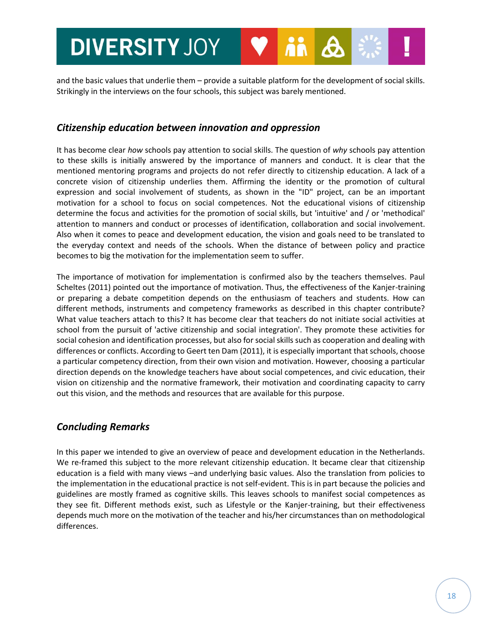and the basic values that underlie them – provide a suitable platform for the development of social skills. Strikingly in the interviews on the four schools, this subject was barely mentioned.

#### *Citizenship education between innovation and oppression*

It has become clear *how* schools pay attention to social skills. The question of *why* schools pay attention to these skills is initially answered by the importance of manners and conduct. It is clear that the mentioned mentoring programs and projects do not refer directly to citizenship education. A lack of a concrete vision of citizenship underlies them. Affirming the identity or the promotion of cultural expression and social involvement of students, as shown in the "ID" project, can be an important motivation for a school to focus on social competences. Not the educational visions of citizenship determine the focus and activities for the promotion of social skills, but 'intuitive' and / or 'methodical' attention to manners and conduct or processes of identification, collaboration and social involvement. Also when it comes to peace and development education, the vision and goals need to be translated to the everyday context and needs of the schools. When the distance of between policy and practice becomes to big the motivation for the implementation seem to suffer.

The importance of motivation for implementation is confirmed also by the teachers themselves. Paul Scheltes (2011) pointed out the importance of motivation. Thus, the effectiveness of the Kanjer-training or preparing a debate competition depends on the enthusiasm of teachers and students. How can different methods, instruments and competency frameworks as described in this chapter contribute? What value teachers attach to this? It has become clear that teachers do not initiate social activities at school from the pursuit of 'active citizenship and social integration'. They promote these activities for social cohesion and identification processes, but also for social skills such as cooperation and dealing with differences or conflicts. According to Geert ten Dam (2011), it is especially important that schools, choose a particular competency direction, from their own vision and motivation. However, choosing a particular direction depends on the knowledge teachers have about social competences, and civic education, their vision on citizenship and the normative framework, their motivation and coordinating capacity to carry out this vision, and the methods and resources that are available for this purpose.

### *Concluding Remarks*

In this paper we intended to give an overview of peace and development education in the Netherlands. We re-framed this subject to the more relevant citizenship education. It became clear that citizenship education is a field with many views –and underlying basic values. Also the translation from policies to the implementation in the educational practice is not self-evident. This is in part because the policies and guidelines are mostly framed as cognitive skills. This leaves schools to manifest social competences as they see fit. Different methods exist, such as Lifestyle or the Kanjer-training, but their effectiveness depends much more on the motivation of the teacher and his/her circumstances than on methodological differences.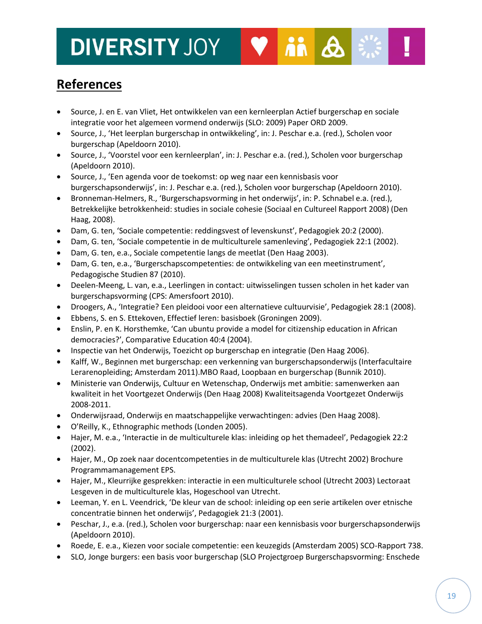## **References**

 Source, J. en E. van Vliet, Het ontwikkelen van een kernleerplan Actief burgerschap en sociale integratie voor het algemeen vormend onderwijs (SLO: 2009) Paper ORD 2009.

ii A

- Source, J., 'Het leerplan burgerschap in ontwikkeling', in: J. Peschar e.a. (red.), Scholen voor burgerschap (Apeldoorn 2010).
- Source, J., 'Voorstel voor een kernleerplan', in: J. Peschar e.a. (red.), Scholen voor burgerschap (Apeldoorn 2010).
- Source, J., 'Een agenda voor de toekomst: op weg naar een kennisbasis voor burgerschapsonderwijs', in: J. Peschar e.a. (red.), Scholen voor burgerschap (Apeldoorn 2010).
- Bronneman-Helmers, R., 'Burgerschapsvorming in het onderwijs', in: P. Schnabel e.a. (red.), Betrekkelijke betrokkenheid: studies in sociale cohesie (Sociaal en Cultureel Rapport 2008) (Den Haag, 2008).
- Dam, G. ten, 'Sociale competentie: reddingsvest of levenskunst', Pedagogiek 20:2 (2000).
- Dam, G. ten, 'Sociale competentie in de multiculturele samenleving', Pedagogiek 22:1 (2002).
- Dam, G. ten, e.a., Sociale competentie langs de meetlat (Den Haag 2003).
- Dam, G. ten, e.a., 'Burgerschapscompetenties: de ontwikkeling van een meetinstrument', Pedagogische Studien 87 (2010).
- Deelen-Meeng, L. van, e.a., Leerlingen in contact: uitwisselingen tussen scholen in het kader van burgerschapsvorming (CPS: Amersfoort 2010).
- Droogers, A., 'Integratie? Een pleidooi voor een alternatieve cultuurvisie', Pedagogiek 28:1 (2008).
- Ebbens, S. en S. Ettekoven, Effectief leren: basisboek (Groningen 2009).
- Enslin, P. en K. Horsthemke, 'Can ubuntu provide a model for citizenship education in African democracies?', Comparative Education 40:4 (2004).
- Inspectie van het Onderwijs, Toezicht op burgerschap en integratie (Den Haag 2006).
- Kalff, W., Beginnen met burgerschap: een verkenning van burgerschapsonderwijs (Interfacultaire Lerarenopleiding; Amsterdam 2011).MBO Raad, Loopbaan en burgerschap (Bunnik 2010).
- Ministerie van Onderwijs, Cultuur en Wetenschap, Onderwijs met ambitie: samenwerken aan kwaliteit in het Voortgezet Onderwijs (Den Haag 2008) Kwaliteitsagenda Voortgezet Onderwijs 2008-2011.
- Onderwijsraad, Onderwijs en maatschappelijke verwachtingen: advies (Den Haag 2008).
- O'Reilly, K., Ethnographic methods (Londen 2005).
- Hajer, M. e.a., 'Interactie in de multiculturele klas: inleiding op het themadeel', Pedagogiek 22:2 (2002).
- Hajer, M., Op zoek naar docentcompetenties in de multiculturele klas (Utrecht 2002) Brochure Programmamanagement EPS.
- Hajer, M., Kleurrijke gesprekken: interactie in een multiculturele school (Utrecht 2003) Lectoraat Lesgeven in de multiculturele klas, Hogeschool van Utrecht.
- Leeman, Y. en L. Veendrick, 'De kleur van de school: inleiding op een serie artikelen over etnische concentratie binnen het onderwijs', Pedagogiek 21:3 (2001).
- Peschar, J., e.a. (red.), Scholen voor burgerschap: naar een kennisbasis voor burgerschapsonderwijs (Apeldoorn 2010).
- Roede, E. e.a., Kiezen voor sociale competentie: een keuzegids (Amsterdam 2005) SCO-Rapport 738.
- SLO, Jonge burgers: een basis voor burgerschap (SLO Projectgroep Burgerschapsvorming: Enschede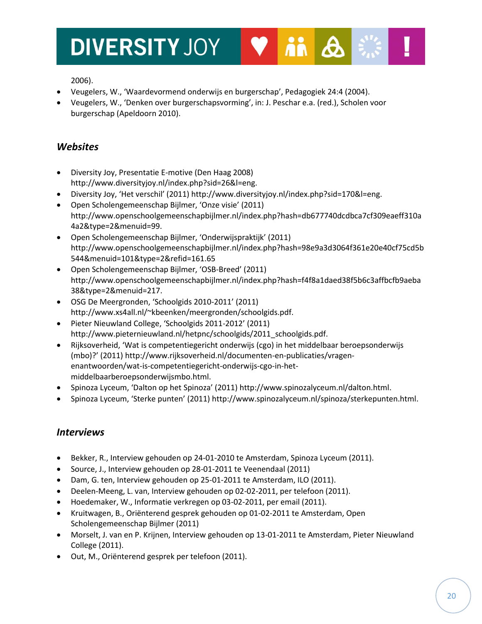

- Veugelers, W., 'Waardevormend onderwijs en burgerschap', Pedagogiek 24:4 (2004).
- Veugelers, W., 'Denken over burgerschapsvorming', in: J. Peschar e.a. (red.), Scholen voor burgerschap (Apeldoorn 2010).

ii A

### *Websites*

- Diversity Joy, Presentatie E-motive (Den Haag 2008) http://www.diversityjoy.nl/index.php?sid=26&l=eng.
- Diversity Joy, 'Het verschil' (2011) http://www.diversityjoy.nl/index.php?sid=170&l=eng.
- Open Scholengemeenschap Bijlmer, 'Onze visie' (2011) http://www.openschoolgemeenschapbijlmer.nl/index.php?hash=db677740dcdbca7cf309eaeff310a 4a2&type=2&menuid=99.
- Open Scholengemeenschap Bijlmer, 'Onderwijspraktijk' (2011) http://www.openschoolgemeenschapbijlmer.nl/index.php?hash=98e9a3d3064f361e20e40cf75cd5b 544&menuid=101&type=2&refid=161.65
- Open Scholengemeenschap Bijlmer, 'OSB-Breed' (2011) http://www.openschoolgemeenschapbijlmer.nl/index.php?hash=f4f8a1daed38f5b6c3affbcfb9aeba 38&type=2&menuid=217.
- OSG De Meergronden, 'Schoolgids 2010-2011' (2011) http://www.xs4all.nl/~kbeenken/meergronden/schoolgids.pdf.
- Pieter Nieuwland College, 'Schoolgids 2011-2012' (2011) http://www.pieternieuwland.nl/hetpnc/schoolgids/2011\_schoolgids.pdf.
- Rijksoverheid, 'Wat is competentiegericht onderwijs (cgo) in het middelbaar beroepsonderwijs (mbo)?' (2011) http://www.rijksoverheid.nl/documenten-en-publicaties/vragenenantwoorden/wat-is-competentiegericht-onderwijs-cgo-in-hetmiddelbaarberoepsonderwijsmbo.html.
- Spinoza Lyceum, 'Dalton op het Spinoza' (2011) http://www.spinozalyceum.nl/dalton.html.
- Spinoza Lyceum, 'Sterke punten' (2011) http://www.spinozalyceum.nl/spinoza/sterkepunten.html.

### *Interviews*

- Bekker, R., Interview gehouden op 24-01-2010 te Amsterdam, Spinoza Lyceum (2011).
- Source, J., Interview gehouden op 28-01-2011 te Veenendaal (2011)
- Dam, G. ten, Interview gehouden op 25-01-2011 te Amsterdam, ILO (2011).
- Deelen-Meeng, L. van, Interview gehouden op 02-02-2011, per telefoon (2011).
- Hoedemaker, W., Informatie verkregen op 03-02-2011, per email (2011).
- Kruitwagen, B., Oriënterend gesprek gehouden op 01-02-2011 te Amsterdam, Open Scholengemeenschap Bijlmer (2011)
- Morselt, J. van en P. Krijnen, Interview gehouden op 13-01-2011 te Amsterdam, Pieter Nieuwland College (2011).
- Out, M., Oriënterend gesprek per telefoon (2011).